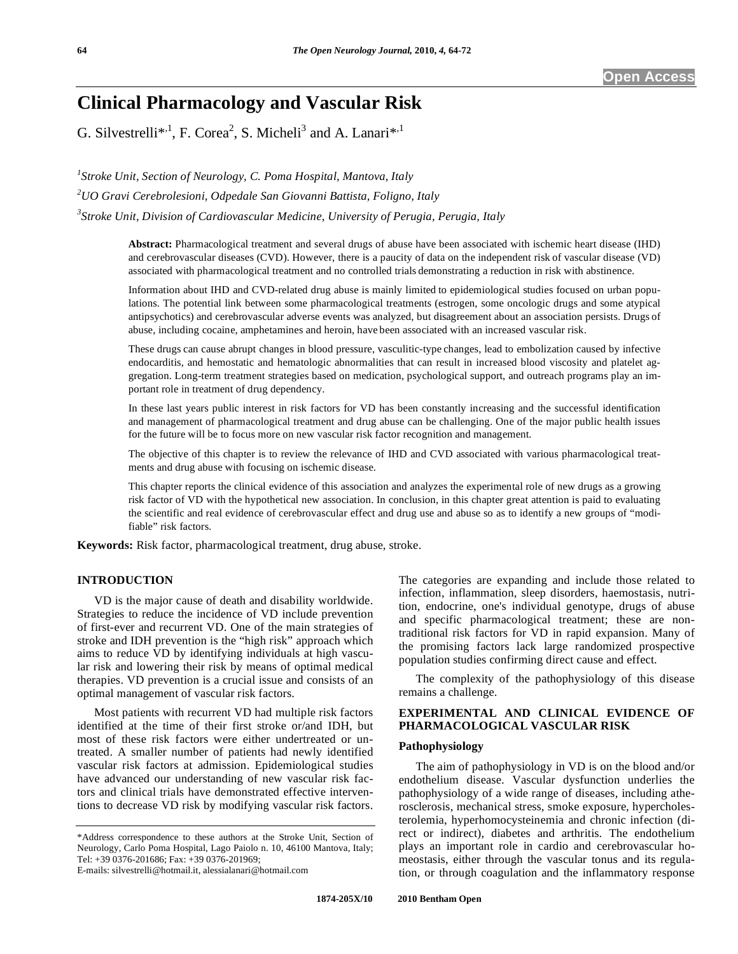# **Clinical Pharmacology and Vascular Risk**

G. Silvestrelli<sup>\*,1</sup>, F. Corea<sup>2</sup>, S. Micheli<sup>3</sup> and A. Lanari<sup>\*,1</sup>

*1 Stroke Unit, Section of Neurology, C. Poma Hospital, Mantova, Italy 2 UO Gravi Cerebrolesioni, Odpedale San Giovanni Battista, Foligno, Italy 3 Stroke Unit, Division of Cardiovascular Medicine, University of Perugia, Perugia, Italy* 

> **Abstract:** Pharmacological treatment and several drugs of abuse have been associated with ischemic heart disease (IHD) and cerebrovascular diseases (CVD). However, there is a paucity of data on the independent risk of vascular disease (VD) associated with pharmacological treatment and no controlled trials demonstrating a reduction in risk with abstinence.

> Information about IHD and CVD-related drug abuse is mainly limited to epidemiological studies focused on urban populations. The potential link between some pharmacological treatments (estrogen, some oncologic drugs and some atypical antipsychotics) and cerebrovascular adverse events was analyzed, but disagreement about an association persists. Drugs of abuse, including cocaine, amphetamines and heroin, have been associated with an increased vascular risk.

> These drugs can cause abrupt changes in blood pressure, vasculitic-type changes, lead to embolization caused by infective endocarditis, and hemostatic and hematologic abnormalities that can result in increased blood viscosity and platelet aggregation. Long-term treatment strategies based on medication, psychological support, and outreach programs play an important role in treatment of drug dependency.

> In these last years public interest in risk factors for VD has been constantly increasing and the successful identification and management of pharmacological treatment and drug abuse can be challenging. One of the major public health issues for the future will be to focus more on new vascular risk factor recognition and management.

> The objective of this chapter is to review the relevance of IHD and CVD associated with various pharmacological treatments and drug abuse with focusing on ischemic disease.

> This chapter reports the clinical evidence of this association and analyzes the experimental role of new drugs as a growing risk factor of VD with the hypothetical new association. In conclusion, in this chapter great attention is paid to evaluating the scientific and real evidence of cerebrovascular effect and drug use and abuse so as to identify a new groups of "modifiable" risk factors.

**Keywords:** Risk factor, pharmacological treatment, drug abuse, stroke.

# **INTRODUCTION**

 VD is the major cause of death and disability worldwide. Strategies to reduce the incidence of VD include prevention of first-ever and recurrent VD. One of the main strategies of stroke and IDH prevention is the "high risk" approach which aims to reduce VD by identifying individuals at high vascular risk and lowering their risk by means of optimal medical therapies. VD prevention is a crucial issue and consists of an optimal management of vascular risk factors.

 Most patients with recurrent VD had multiple risk factors identified at the time of their first stroke or/and IDH, but most of these risk factors were either undertreated or untreated. A smaller number of patients had newly identified vascular risk factors at admission. Epidemiological studies have advanced our understanding of new vascular risk factors and clinical trials have demonstrated effective interventions to decrease VD risk by modifying vascular risk factors.

\*Address correspondence to these authors at the Stroke Unit, Section of Neurology, Carlo Poma Hospital, Lago Paiolo n. 10, 46100 Mantova, Italy; Tel: +39 0376-201686; Fax: +39 0376-201969;

E-mails: silvestrelli@hotmail.it, alessialanari@hotmail.com

The categories are expanding and include those related to infection, inflammation, sleep disorders, haemostasis, nutrition, endocrine, one's individual genotype, drugs of abuse and specific pharmacological treatment; these are nontraditional risk factors for VD in rapid expansion. Many of the promising factors lack large randomized prospective population studies confirming direct cause and effect.

 The complexity of the pathophysiology of this disease remains a challenge.

# **EXPERIMENTAL AND CLINICAL EVIDENCE OF PHARMACOLOGICAL VASCULAR RISK**

# **Pathophysiology**

 The aim of pathophysiology in VD is on the blood and/or endothelium disease. Vascular dysfunction underlies the pathophysiology of a wide range of diseases, including atherosclerosis, mechanical stress, smoke exposure, hypercholesterolemia, hyperhomocysteinemia and chronic infection (direct or indirect), diabetes and arthritis. The endothelium plays an important role in cardio and cerebrovascular homeostasis, either through the vascular tonus and its regulation, or through coagulation and the inflammatory response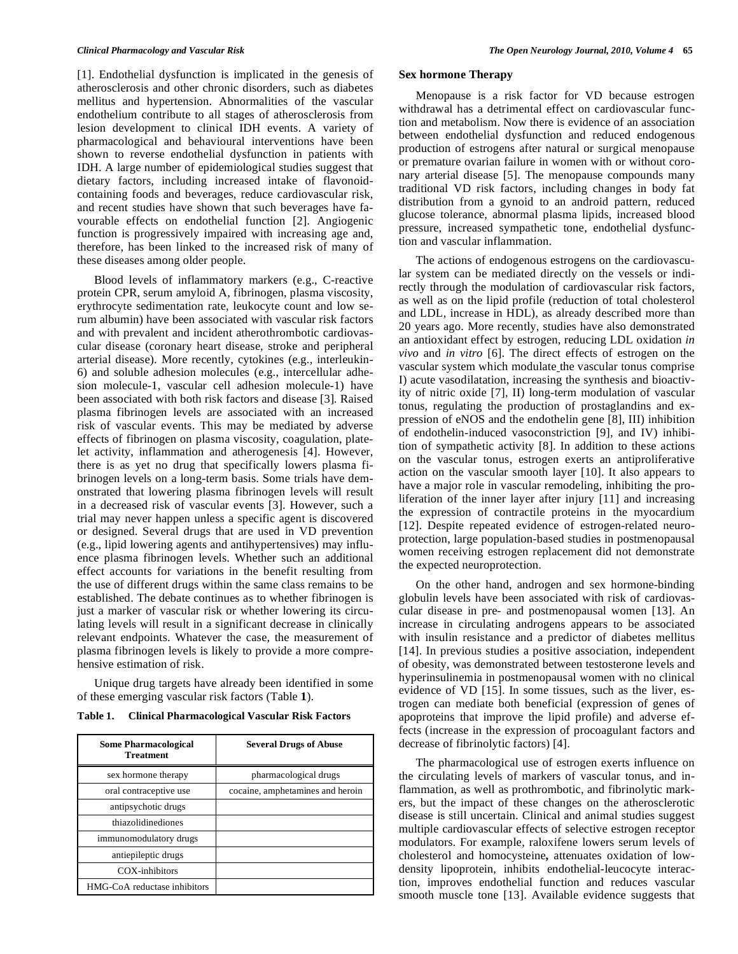[1]. Endothelial dysfunction is implicated in the genesis of atherosclerosis and other chronic disorders, such as diabetes mellitus and hypertension. Abnormalities of the vascular endothelium contribute to all stages of atherosclerosis from lesion development to clinical IDH events. A variety of pharmacological and behavioural interventions have been shown to reverse endothelial dysfunction in patients with IDH. A large number of epidemiological studies suggest that dietary factors, including increased intake of flavonoidcontaining foods and beverages, reduce cardiovascular risk, and recent studies have shown that such beverages have favourable effects on endothelial function [2]. Angiogenic function is progressively impaired with increasing age and, therefore, has been linked to the increased risk of many of these diseases among older people.

 Blood levels of inflammatory markers (e.g., C-reactive protein CPR, serum amyloid A, fibrinogen, plasma viscosity, erythrocyte sedimentation rate, leukocyte count and low serum albumin) have been associated with vascular risk factors and with prevalent and incident atherothrombotic cardiovascular disease (coronary heart disease, stroke and peripheral arterial disease). More recently, cytokines (e.g., interleukin-6) and soluble adhesion molecules (e.g., intercellular adhesion molecule-1, vascular cell adhesion molecule-1) have been associated with both risk factors and disease [3]*.* Raised plasma fibrinogen levels are associated with an increased risk of vascular events. This may be mediated by adverse effects of fibrinogen on plasma viscosity, coagulation, platelet activity, inflammation and atherogenesis [4]. However, there is as yet no drug that specifically lowers plasma fibrinogen levels on a long-term basis. Some trials have demonstrated that lowering plasma fibrinogen levels will result in a decreased risk of vascular events [3]. However, such a trial may never happen unless a specific agent is discovered or designed. Several drugs that are used in VD prevention (e.g., lipid lowering agents and antihypertensives) may influence plasma fibrinogen levels. Whether such an additional effect accounts for variations in the benefit resulting from the use of different drugs within the same class remains to be established. The debate continues as to whether fibrinogen is just a marker of vascular risk or whether lowering its circulating levels will result in a significant decrease in clinically relevant endpoints. Whatever the case, the measurement of plasma fibrinogen levels is likely to provide a more comprehensive estimation of risk.

 Unique drug targets have already been identified in some of these emerging vascular risk factors (Table **1**).

**Table 1. Clinical Pharmacological Vascular Risk Factors** 

| <b>Some Pharmacological</b><br><b>Treatment</b> | <b>Several Drugs of Abuse</b>    |
|-------------------------------------------------|----------------------------------|
| sex hormone therapy                             | pharmacological drugs            |
| oral contraceptive use                          | cocaine, amphetamines and heroin |
| antipsychotic drugs                             |                                  |
| thiazolidinediones                              |                                  |
| immunomodulatory drugs                          |                                  |
| antiepileptic drugs                             |                                  |
| COX-inhibitors                                  |                                  |
| HMG-CoA reductase inhibitors                    |                                  |

# **Sex hormone Therapy**

 Menopause is a risk factor for VD because estrogen withdrawal has a detrimental effect on cardiovascular function and metabolism. Now there is evidence of an association between endothelial dysfunction and reduced endogenous production of estrogens after natural or surgical menopause or premature ovarian failure in women with or without coronary arterial disease [5]. The menopause compounds many traditional VD risk factors, including changes in body fat distribution from a gynoid to an android pattern, reduced glucose tolerance, abnormal plasma lipids, increased blood pressure, increased sympathetic tone, endothelial dysfunction and vascular inflammation.

 The actions of endogenous estrogens on the cardiovascular system can be mediated directly on the vessels or indirectly through the modulation of cardiovascular risk factors, as well as on the lipid profile (reduction of total cholesterol and LDL, increase in HDL), as already described more than 20 years ago. More recently, studies have also demonstrated an antioxidant effect by estrogen, reducing LDL oxidation *in vivo* and *in vitro* [6]. The direct effects of estrogen on the vascular system which modulate the vascular tonus comprise I) acute vasodilatation, increasing the synthesis and bioactivity of nitric oxide [7], II) long-term modulation of vascular tonus, regulating the production of prostaglandins and expression of eNOS and the endothelin gene [8], III) inhibition of endothelin-induced vasoconstriction [9], and IV) inhibition of sympathetic activity [8]. In addition to these actions on the vascular tonus, estrogen exerts an antiproliferative action on the vascular smooth layer [10]. It also appears to have a major role in vascular remodeling, inhibiting the proliferation of the inner layer after injury [11] and increasing the expression of contractile proteins in the myocardium [12]. Despite repeated evidence of estrogen-related neuroprotection, large population-based studies in postmenopausal women receiving estrogen replacement did not demonstrate the expected neuroprotection.

 On the other hand, androgen and sex hormone-binding globulin levels have been associated with risk of cardiovascular disease in pre- and postmenopausal women [13]. An increase in circulating androgens appears to be associated with insulin resistance and a predictor of diabetes mellitus [14]. In previous studies a positive association, independent of obesity, was demonstrated between testosterone levels and hyperinsulinemia in postmenopausal women with no clinical evidence of VD [15]. In some tissues, such as the liver, estrogen can mediate both beneficial (expression of genes of apoproteins that improve the lipid profile) and adverse effects (increase in the expression of procoagulant factors and decrease of fibrinolytic factors) [4].

 The pharmacological use of estrogen exerts influence on the circulating levels of markers of vascular tonus, and inflammation, as well as prothrombotic, and fibrinolytic markers, but the impact of these changes on the atherosclerotic disease is still uncertain. Clinical and animal studies suggest multiple cardiovascular effects of selective estrogen receptor modulators. For example, raloxifene lowers serum levels of cholesterol and homocysteine**,** attenuates oxidation of lowdensity lipoprotein, inhibits endothelial-leucocyte interaction, improves endothelial function and reduces vascular smooth muscle tone [13]. Available evidence suggests that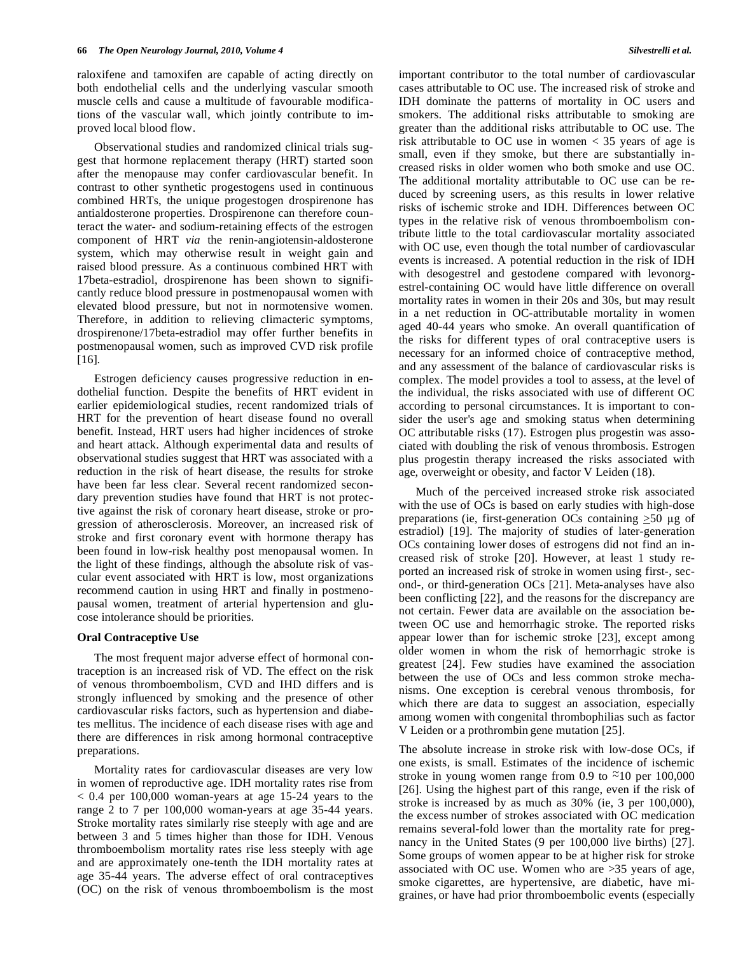raloxifene and tamoxifen are capable of acting directly on both endothelial cells and the underlying vascular smooth muscle cells and cause a multitude of favourable modifications of the vascular wall, which jointly contribute to improved local blood flow.

 Observational studies and randomized clinical trials suggest that hormone replacement therapy (HRT) started soon after the menopause may confer cardiovascular benefit. In contrast to other synthetic progestogens used in continuous combined HRTs, the unique progestogen drospirenone has antialdosterone properties. Drospirenone can therefore counteract the water- and sodium-retaining effects of the estrogen component of HRT *via* the renin-angiotensin-aldosterone system, which may otherwise result in weight gain and raised blood pressure. As a continuous combined HRT with 17beta-estradiol, drospirenone has been shown to significantly reduce blood pressure in postmenopausal women with elevated blood pressure, but not in normotensive women. Therefore, in addition to relieving climacteric symptoms, drospirenone/17beta-estradiol may offer further benefits in postmenopausal women, such as improved CVD risk profile [16]*.* 

 Estrogen deficiency causes progressive reduction in endothelial function. Despite the benefits of HRT evident in earlier epidemiological studies, recent randomized trials of HRT for the prevention of heart disease found no overall benefit. Instead, HRT users had higher incidences of stroke and heart attack. Although experimental data and results of observational studies suggest that HRT was associated with a reduction in the risk of heart disease, the results for stroke have been far less clear. Several recent randomized secondary prevention studies have found that HRT is not protective against the risk of coronary heart disease, stroke or progression of atherosclerosis. Moreover, an increased risk of stroke and first coronary event with hormone therapy has been found in low-risk healthy post menopausal women. In the light of these findings, although the absolute risk of vascular event associated with HRT is low, most organizations recommend caution in using HRT and finally in postmenopausal women, treatment of arterial hypertension and glucose intolerance should be priorities.

#### **Oral Contraceptive Use**

 The most frequent major adverse effect of hormonal contraception is an increased risk of VD. The effect on the risk of venous thromboembolism, CVD and IHD differs and is strongly influenced by smoking and the presence of other cardiovascular risks factors, such as hypertension and diabetes mellitus. The incidence of each disease rises with age and there are differences in risk among hormonal contraceptive preparations.

 Mortality rates for cardiovascular diseases are very low in women of reproductive age. IDH mortality rates rise from  $< 0.4$  per 100,000 woman-years at age 15-24 years to the range 2 to 7 per 100,000 woman-years at age 35-44 years. Stroke mortality rates similarly rise steeply with age and are between 3 and 5 times higher than those for IDH. Venous thromboembolism mortality rates rise less steeply with age and are approximately one-tenth the IDH mortality rates at age 35-44 years. The adverse effect of oral contraceptives (OC) on the risk of venous thromboembolism is the most important contributor to the total number of cardiovascular cases attributable to OC use. The increased risk of stroke and IDH dominate the patterns of mortality in OC users and smokers. The additional risks attributable to smoking are greater than the additional risks attributable to OC use. The risk attributable to OC use in women  $\lt$  35 years of age is small, even if they smoke, but there are substantially increased risks in older women who both smoke and use OC. The additional mortality attributable to OC use can be reduced by screening users, as this results in lower relative risks of ischemic stroke and IDH. Differences between OC types in the relative risk of venous thromboembolism contribute little to the total cardiovascular mortality associated with OC use, even though the total number of cardiovascular events is increased. A potential reduction in the risk of IDH with desogestrel and gestodene compared with levonorgestrel-containing OC would have little difference on overall mortality rates in women in their 20s and 30s, but may result in a net reduction in OC-attributable mortality in women aged 40-44 years who smoke. An overall quantification of the risks for different types of oral contraceptive users is necessary for an informed choice of contraceptive method, and any assessment of the balance of cardiovascular risks is complex. The model provides a tool to assess, at the level of the individual, the risks associated with use of different OC according to personal circumstances. It is important to consider the user's age and smoking status when determining OC attributable risks (17). Estrogen plus progestin was associated with doubling the risk of venous thrombosis. Estrogen plus progestin therapy increased the risks associated with age, overweight or obesity, and factor V Leiden (18).

 Much of the perceived increased stroke risk associated with the use of OCs is based on early studies with high-dose preparations (ie, first-generation OCs containing  $>50 \mu$ g of estradiol) [19]. The majority of studies of later-generation OCs containing lower doses of estrogens did not find an increased risk of stroke [20]. However, at least 1 study reported an increased risk of stroke in women using first-, second-, or third-generation OCs [21]. Meta-analyses have also been conflicting [22], and the reasons for the discrepancy are not certain. Fewer data are available on the association between OC use and hemorrhagic stroke. The reported risks appear lower than for ischemic stroke [23], except among older women in whom the risk of hemorrhagic stroke is greatest [24]. Few studies have examined the association between the use of OCs and less common stroke mechanisms. One exception is cerebral venous thrombosis, for which there are data to suggest an association, especially among women with congenital thrombophilias such as factor V Leiden or a prothrombin gene mutation [25].

The absolute increase in stroke risk with low-dose OCs, if one exists, is small. Estimates of the incidence of ischemic stroke in young women range from 0.9 to  $\approx 10$  per 100,000 [26]. Using the highest part of this range, even if the risk of stroke is increased by as much as 30% (ie, 3 per 100,000), the excess number of strokes associated with OC medication remains several-fold lower than the mortality rate for pregnancy in the United States (9 per 100,000 live births) [27]. Some groups of women appear to be at higher risk for stroke associated with OC use. Women who are >35 years of age, smoke cigarettes, are hypertensive, are diabetic, have migraines, or have had prior thromboembolic events (especially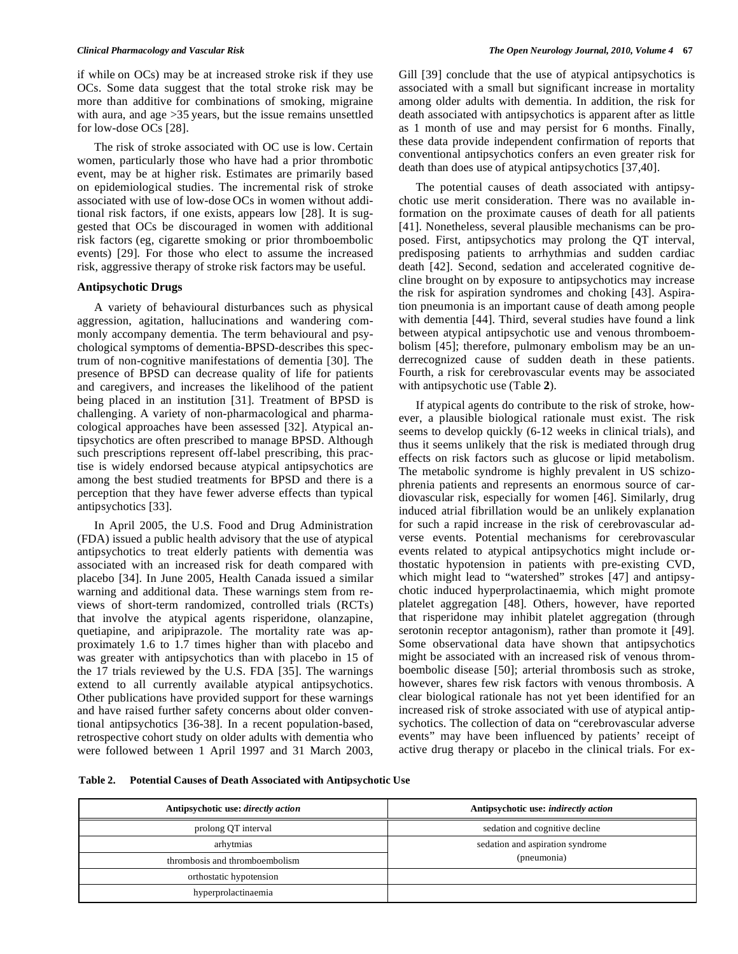if while on OCs) may be at increased stroke risk if they use OCs. Some data suggest that the total stroke risk may be more than additive for combinations of smoking, migraine with aura, and age > 35 years, but the issue remains unsettled for low-dose OCs [28].

 The risk of stroke associated with OC use is low. Certain women, particularly those who have had a prior thrombotic event, may be at higher risk. Estimates are primarily based on epidemiological studies. The incremental risk of stroke associated with use of low-dose OCs in women without additional risk factors, if one exists, appears low [28]. It is suggested that OCs be discouraged in women with additional risk factors (eg, cigarette smoking or prior thromboembolic events) [29]*.* For those who elect to assume the increased risk, aggressive therapy of stroke risk factors may be useful.

# **Antipsychotic Drugs**

 A variety of behavioural disturbances such as physical aggression, agitation, hallucinations and wandering commonly accompany dementia. The term behavioural and psychological symptoms of dementia-BPSD-describes this spectrum of non-cognitive manifestations of dementia [30]*.* The presence of BPSD can decrease quality of life for patients and caregivers, and increases the likelihood of the patient being placed in an institution [31]. Treatment of BPSD is challenging. A variety of non-pharmacological and pharmacological approaches have been assessed [32]. Atypical antipsychotics are often prescribed to manage BPSD. Although such prescriptions represent off-label prescribing, this practise is widely endorsed because atypical antipsychotics are among the best studied treatments for BPSD and there is a perception that they have fewer adverse effects than typical antipsychotics [33].

 In April 2005, the U.S. Food and Drug Administration (FDA) issued a public health advisory that the use of atypical antipsychotics to treat elderly patients with dementia was associated with an increased risk for death compared with placebo [34]. In June 2005, Health Canada issued a similar warning and additional data. These warnings stem from reviews of short-term randomized, controlled trials (RCTs) that involve the atypical agents risperidone, olanzapine, quetiapine, and aripiprazole. The mortality rate was approximately 1.6 to 1.7 times higher than with placebo and was greater with antipsychotics than with placebo in 15 of the 17 trials reviewed by the U.S. FDA [35]. The warnings extend to all currently available atypical antipsychotics. Other publications have provided support for these warnings and have raised further safety concerns about older conventional antipsychotics [36-38]. In a recent population-based, retrospective cohort study on older adults with dementia who were followed between 1 April 1997 and 31 March 2003,

Gill [39] conclude that the use of atypical antipsychotics is associated with a small but significant increase in mortality among older adults with dementia. In addition, the risk for death associated with antipsychotics is apparent after as little as 1 month of use and may persist for 6 months. Finally, these data provide independent confirmation of reports that conventional antipsychotics confers an even greater risk for death than does use of atypical antipsychotics [37,40].

 The potential causes of death associated with antipsychotic use merit consideration. There was no available information on the proximate causes of death for all patients [41]. Nonetheless, several plausible mechanisms can be proposed. First, antipsychotics may prolong the QT interval, predisposing patients to arrhythmias and sudden cardiac death [42]. Second, sedation and accelerated cognitive decline brought on by exposure to antipsychotics may increase the risk for aspiration syndromes and choking [43]. Aspiration pneumonia is an important cause of death among people with dementia [44]. Third, several studies have found a link between atypical antipsychotic use and venous thromboembolism [45]; therefore, pulmonary embolism may be an underrecognized cause of sudden death in these patients. Fourth, a risk for cerebrovascular events may be associated with antipsychotic use (Table **2**).

 If atypical agents do contribute to the risk of stroke, however, a plausible biological rationale must exist. The risk seems to develop quickly (6-12 weeks in clinical trials), and thus it seems unlikely that the risk is mediated through drug effects on risk factors such as glucose or lipid metabolism. The metabolic syndrome is highly prevalent in US schizophrenia patients and represents an enormous source of cardiovascular risk, especially for women [46]. Similarly, drug induced atrial fibrillation would be an unlikely explanation for such a rapid increase in the risk of cerebrovascular adverse events. Potential mechanisms for cerebrovascular events related to atypical antipsychotics might include orthostatic hypotension in patients with pre-existing CVD, which might lead to "watershed" strokes [47] and antipsychotic induced hyperprolactinaemia, which might promote platelet aggregation [48]*.* Others, however, have reported that risperidone may inhibit platelet aggregation (through serotonin receptor antagonism), rather than promote it [49]*.* Some observational data have shown that antipsychotics might be associated with an increased risk of venous thromboembolic disease [50]; arterial thrombosis such as stroke, however, shares few risk factors with venous thrombosis. A clear biological rationale has not yet been identified for an increased risk of stroke associated with use of atypical antipsychotics. The collection of data on "cerebrovascular adverse events" may have been influenced by patients' receipt of active drug therapy or placebo in the clinical trials. For ex-

**Table 2. Potential Causes of Death Associated with Antipsychotic Use** 

| Antipsychotic use: directly action | Antipsychotic use: indirectly action            |
|------------------------------------|-------------------------------------------------|
| prolong QT interval                | sedation and cognitive decline                  |
| arhytmias                          | sedation and aspiration syndrome<br>(pneumonia) |
| thrombosis and thromboembolism     |                                                 |
| orthostatic hypotension            |                                                 |
| hyperprolactinaemia                |                                                 |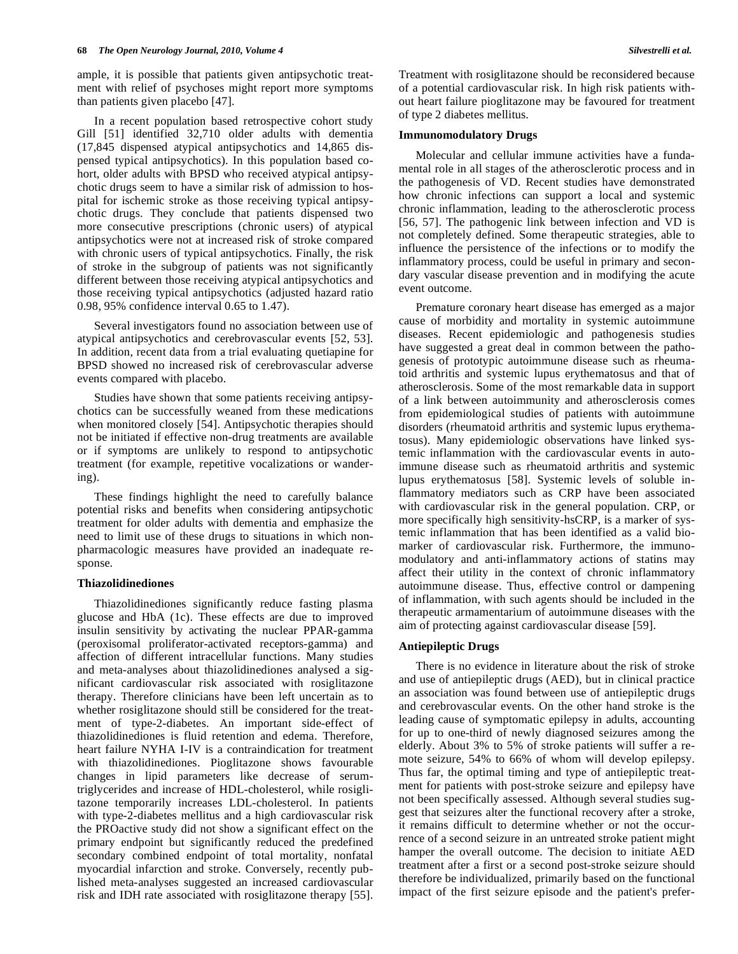ample, it is possible that patients given antipsychotic treatment with relief of psychoses might report more symptoms than patients given placebo [47].

 In a recent population based retrospective cohort study Gill [51] identified 32,710 older adults with dementia (17,845 dispensed atypical antipsychotics and 14,865 dispensed typical antipsychotics). In this population based cohort, older adults with BPSD who received atypical antipsychotic drugs seem to have a similar risk of admission to hospital for ischemic stroke as those receiving typical antipsychotic drugs. They conclude that patients dispensed two more consecutive prescriptions (chronic users) of atypical antipsychotics were not at increased risk of stroke compared with chronic users of typical antipsychotics. Finally, the risk of stroke in the subgroup of patients was not significantly different between those receiving atypical antipsychotics and those receiving typical antipsychotics (adjusted hazard ratio 0.98, 95% confidence interval 0.65 to 1.47).

 Several investigators found no association between use of atypical antipsychotics and cerebrovascular events [52, 53]. In addition, recent data from a trial evaluating quetiapine for BPSD showed no increased risk of cerebrovascular adverse events compared with placebo.

 Studies have shown that some patients receiving antipsychotics can be successfully weaned from these medications when monitored closely [54]. Antipsychotic therapies should not be initiated if effective non-drug treatments are available or if symptoms are unlikely to respond to antipsychotic treatment (for example, repetitive vocalizations or wandering).

 These findings highlight the need to carefully balance potential risks and benefits when considering antipsychotic treatment for older adults with dementia and emphasize the need to limit use of these drugs to situations in which nonpharmacologic measures have provided an inadequate response.

### **Thiazolidinediones**

 Thiazolidinediones significantly reduce fasting plasma glucose and HbA (1c). These effects are due to improved insulin sensitivity by activating the nuclear PPAR-gamma (peroxisomal proliferator-activated receptors-gamma) and affection of different intracellular functions. Many studies and meta-analyses about thiazolidinediones analysed a significant cardiovascular risk associated with rosiglitazone therapy. Therefore clinicians have been left uncertain as to whether rosiglitazone should still be considered for the treatment of type-2-diabetes. An important side-effect of thiazolidinediones is fluid retention and edema. Therefore, heart failure NYHA I-IV is a contraindication for treatment with thiazolidinediones. Pioglitazone shows favourable changes in lipid parameters like decrease of serumtriglycerides and increase of HDL-cholesterol, while rosiglitazone temporarily increases LDL-cholesterol. In patients with type-2-diabetes mellitus and a high cardiovascular risk the PROactive study did not show a significant effect on the primary endpoint but significantly reduced the predefined secondary combined endpoint of total mortality, nonfatal myocardial infarction and stroke. Conversely, recently published meta-analyses suggested an increased cardiovascular risk and IDH rate associated with rosiglitazone therapy [55].

Treatment with rosiglitazone should be reconsidered because of a potential cardiovascular risk. In high risk patients without heart failure pioglitazone may be favoured for treatment of type 2 diabetes mellitus.

#### **Immunomodulatory Drugs**

 Molecular and cellular immune activities have a fundamental role in all stages of the atherosclerotic process and in the pathogenesis of VD. Recent studies have demonstrated how chronic infections can support a local and systemic chronic inflammation, leading to the atherosclerotic process [56, 57]. The pathogenic link between infection and VD is not completely defined. Some therapeutic strategies, able to influence the persistence of the infections or to modify the inflammatory process, could be useful in primary and secondary vascular disease prevention and in modifying the acute event outcome.

 Premature coronary heart disease has emerged as a major cause of morbidity and mortality in systemic autoimmune diseases. Recent epidemiologic and pathogenesis studies have suggested a great deal in common between the pathogenesis of prototypic autoimmune disease such as rheumatoid arthritis and systemic lupus erythematosus and that of atherosclerosis. Some of the most remarkable data in support of a link between autoimmunity and atherosclerosis comes from epidemiological studies of patients with autoimmune disorders (rheumatoid arthritis and systemic lupus erythematosus). Many epidemiologic observations have linked systemic inflammation with the cardiovascular events in autoimmune disease such as rheumatoid arthritis and systemic lupus erythematosus [58]. Systemic levels of soluble inflammatory mediators such as CRP have been associated with cardiovascular risk in the general population. CRP, or more specifically high sensitivity-hsCRP, is a marker of systemic inflammation that has been identified as a valid biomarker of cardiovascular risk. Furthermore, the immunomodulatory and anti-inflammatory actions of statins may affect their utility in the context of chronic inflammatory autoimmune disease. Thus, effective control or dampening of inflammation, with such agents should be included in the therapeutic armamentarium of autoimmune diseases with the aim of protecting against cardiovascular disease [59].

# **Antiepileptic Drugs**

 There is no evidence in literature about the risk of stroke and use of antiepileptic drugs (AED), but in clinical practice an association was found between use of antiepileptic drugs and cerebrovascular events. On the other hand stroke is the leading cause of symptomatic epilepsy in adults, accounting for up to one-third of newly diagnosed seizures among the elderly. About 3% to 5% of stroke patients will suffer a remote seizure, 54% to 66% of whom will develop epilepsy. Thus far, the optimal timing and type of antiepileptic treatment for patients with post-stroke seizure and epilepsy have not been specifically assessed. Although several studies suggest that seizures alter the functional recovery after a stroke, it remains difficult to determine whether or not the occurrence of a second seizure in an untreated stroke patient might hamper the overall outcome. The decision to initiate AED treatment after a first or a second post-stroke seizure should therefore be individualized, primarily based on the functional impact of the first seizure episode and the patient's prefer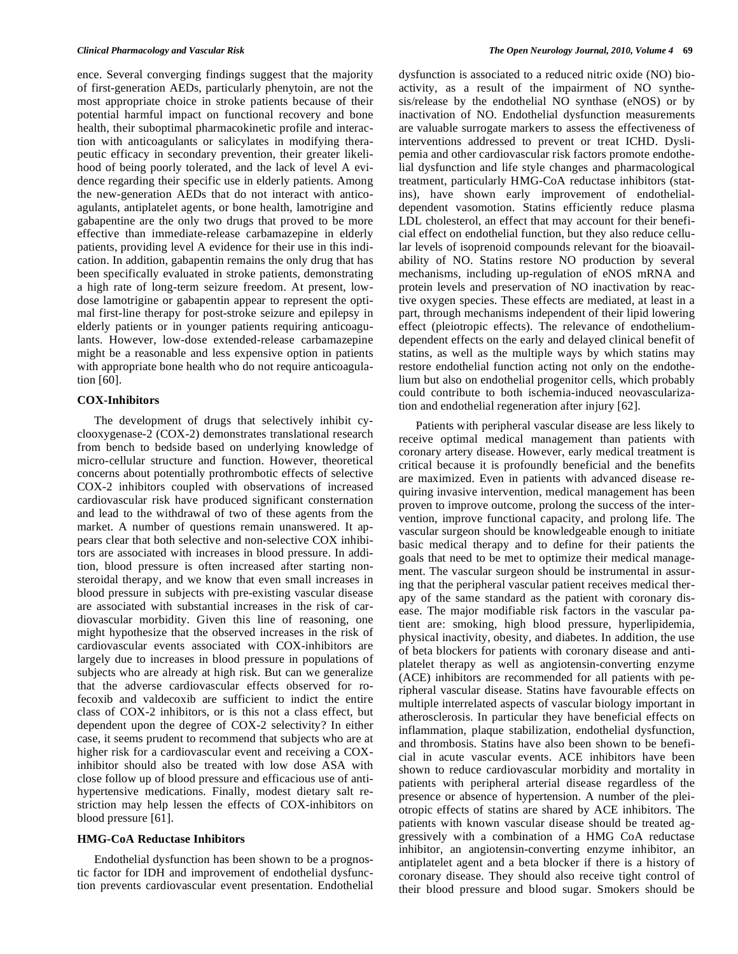ence. Several converging findings suggest that the majority of first-generation AEDs, particularly phenytoin, are not the most appropriate choice in stroke patients because of their potential harmful impact on functional recovery and bone health, their suboptimal pharmacokinetic profile and interaction with anticoagulants or salicylates in modifying therapeutic efficacy in secondary prevention, their greater likelihood of being poorly tolerated, and the lack of level A evidence regarding their specific use in elderly patients. Among the new-generation AEDs that do not interact with anticoagulants, antiplatelet agents, or bone health, lamotrigine and gabapentine are the only two drugs that proved to be more effective than immediate-release carbamazepine in elderly patients, providing level A evidence for their use in this indication. In addition, gabapentin remains the only drug that has been specifically evaluated in stroke patients, demonstrating a high rate of long-term seizure freedom. At present, lowdose lamotrigine or gabapentin appear to represent the optimal first-line therapy for post-stroke seizure and epilepsy in elderly patients or in younger patients requiring anticoagulants. However, low-dose extended-release carbamazepine might be a reasonable and less expensive option in patients with appropriate bone health who do not require anticoagulation [60].

# **COX-Inhibitors**

 The development of drugs that selectively inhibit cyclooxygenase-2 (COX-2) demonstrates translational research from bench to bedside based on underlying knowledge of micro-cellular structure and function. However, theoretical concerns about potentially prothrombotic effects of selective COX-2 inhibitors coupled with observations of increased cardiovascular risk have produced significant consternation and lead to the withdrawal of two of these agents from the market. A number of questions remain unanswered. It appears clear that both selective and non-selective COX inhibitors are associated with increases in blood pressure. In addition, blood pressure is often increased after starting nonsteroidal therapy, and we know that even small increases in blood pressure in subjects with pre-existing vascular disease are associated with substantial increases in the risk of cardiovascular morbidity. Given this line of reasoning, one might hypothesize that the observed increases in the risk of cardiovascular events associated with COX-inhibitors are largely due to increases in blood pressure in populations of subjects who are already at high risk. But can we generalize that the adverse cardiovascular effects observed for rofecoxib and valdecoxib are sufficient to indict the entire class of COX-2 inhibitors, or is this not a class effect, but dependent upon the degree of COX-2 selectivity? In either case, it seems prudent to recommend that subjects who are at higher risk for a cardiovascular event and receiving a COXinhibitor should also be treated with low dose ASA with close follow up of blood pressure and efficacious use of antihypertensive medications. Finally, modest dietary salt restriction may help lessen the effects of COX-inhibitors on blood pressure [61].

### **HMG-CoA Reductase Inhibitors**

 Endothelial dysfunction has been shown to be a prognostic factor for IDH and improvement of endothelial dysfunction prevents cardiovascular event presentation. Endothelial dysfunction is associated to a reduced nitric oxide (NO) bioactivity, as a result of the impairment of NO synthesis/release by the endothelial NO synthase (eNOS) or by inactivation of NO. Endothelial dysfunction measurements are valuable surrogate markers to assess the effectiveness of interventions addressed to prevent or treat ICHD. Dyslipemia and other cardiovascular risk factors promote endothelial dysfunction and life style changes and pharmacological treatment, particularly HMG-CoA reductase inhibitors (statins), have shown early improvement of endothelialdependent vasomotion. Statins efficiently reduce plasma LDL cholesterol, an effect that may account for their beneficial effect on endothelial function, but they also reduce cellular levels of isoprenoid compounds relevant for the bioavailability of NO. Statins restore NO production by several mechanisms, including up-regulation of eNOS mRNA and protein levels and preservation of NO inactivation by reactive oxygen species. These effects are mediated, at least in a part, through mechanisms independent of their lipid lowering effect (pleiotropic effects). The relevance of endotheliumdependent effects on the early and delayed clinical benefit of statins, as well as the multiple ways by which statins may restore endothelial function acting not only on the endothelium but also on endothelial progenitor cells, which probably could contribute to both ischemia-induced neovascularization and endothelial regeneration after injury [62].

 Patients with peripheral vascular disease are less likely to receive optimal medical management than patients with coronary artery disease. However, early medical treatment is critical because it is profoundly beneficial and the benefits are maximized. Even in patients with advanced disease requiring invasive intervention, medical management has been proven to improve outcome, prolong the success of the intervention, improve functional capacity, and prolong life. The vascular surgeon should be knowledgeable enough to initiate basic medical therapy and to define for their patients the goals that need to be met to optimize their medical management. The vascular surgeon should be instrumental in assuring that the peripheral vascular patient receives medical therapy of the same standard as the patient with coronary disease. The major modifiable risk factors in the vascular patient are: smoking, high blood pressure, hyperlipidemia, physical inactivity, obesity, and diabetes. In addition, the use of beta blockers for patients with coronary disease and antiplatelet therapy as well as angiotensin-converting enzyme (ACE) inhibitors are recommended for all patients with peripheral vascular disease. Statins have favourable effects on multiple interrelated aspects of vascular biology important in atherosclerosis. In particular they have beneficial effects on inflammation, plaque stabilization, endothelial dysfunction, and thrombosis. Statins have also been shown to be beneficial in acute vascular events. ACE inhibitors have been shown to reduce cardiovascular morbidity and mortality in patients with peripheral arterial disease regardless of the presence or absence of hypertension. A number of the pleiotropic effects of statins are shared by ACE inhibitors. The patients with known vascular disease should be treated aggressively with a combination of a HMG CoA reductase inhibitor, an angiotensin-converting enzyme inhibitor, an antiplatelet agent and a beta blocker if there is a history of coronary disease. They should also receive tight control of their blood pressure and blood sugar. Smokers should be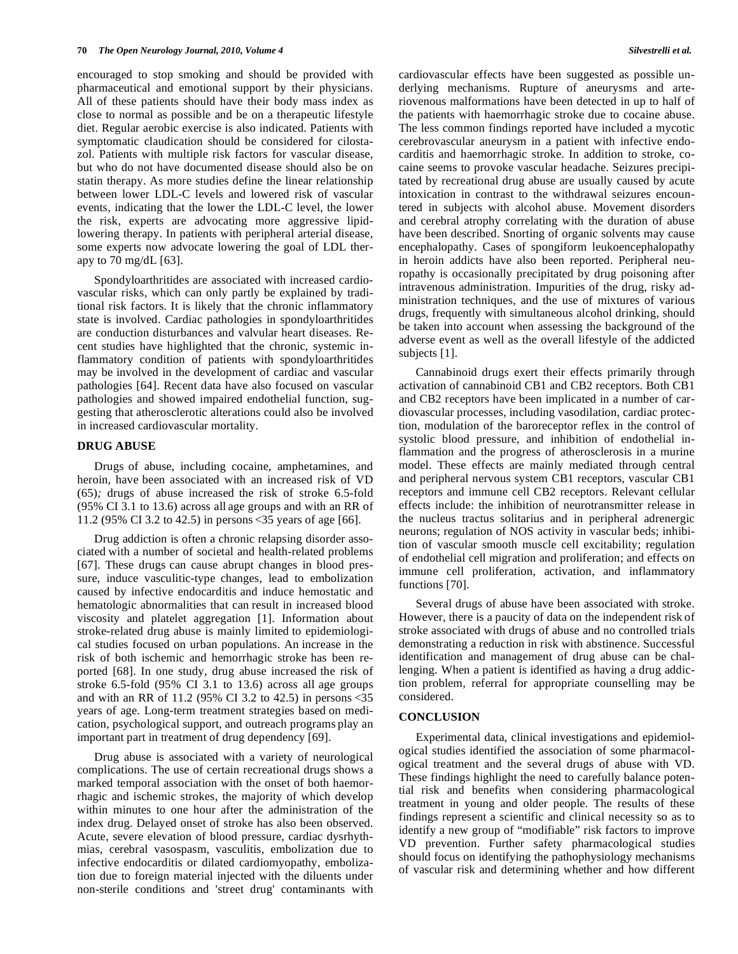encouraged to stop smoking and should be provided with pharmaceutical and emotional support by their physicians. All of these patients should have their body mass index as close to normal as possible and be on a therapeutic lifestyle diet. Regular aerobic exercise is also indicated. Patients with symptomatic claudication should be considered for cilostazol. Patients with multiple risk factors for vascular disease, but who do not have documented disease should also be on statin therapy. As more studies define the linear relationship between lower LDL-C levels and lowered risk of vascular events, indicating that the lower the LDL-C level, the lower the risk, experts are advocating more aggressive lipidlowering therapy. In patients with peripheral arterial disease, some experts now advocate lowering the goal of LDL therapy to 70 mg/dL [63].

 Spondyloarthritides are associated with increased cardiovascular risks, which can only partly be explained by traditional risk factors. It is likely that the chronic inflammatory state is involved. Cardiac pathologies in spondyloarthritides are conduction disturbances and valvular heart diseases. Recent studies have highlighted that the chronic, systemic inflammatory condition of patients with spondyloarthritides may be involved in the development of cardiac and vascular pathologies [64]. Recent data have also focused on vascular pathologies and showed impaired endothelial function, suggesting that atherosclerotic alterations could also be involved in increased cardiovascular mortality.

#### **DRUG ABUSE**

 Drugs of abuse, including cocaine, amphetamines, and heroin, have been associated with an increased risk of VD (65)*;* drugs of abuse increased the risk of stroke 6.5-fold (95% CI 3.1 to 13.6) across all age groups and with an RR of 11.2 (95% CI 3.2 to 42.5) in persons <35 years of age [66].

 Drug addiction is often a chronic relapsing disorder associated with a number of societal and health-related problems [67]. These drugs can cause abrupt changes in blood pressure, induce vasculitic-type changes, lead to embolization caused by infective endocarditis and induce hemostatic and hematologic abnormalities that can result in increased blood viscosity and platelet aggregation [1]. Information about stroke-related drug abuse is mainly limited to epidemiological studies focused on urban populations. An increase in the risk of both ischemic and hemorrhagic stroke has been reported [68]. In one study, drug abuse increased the risk of stroke 6.5-fold (95% CI 3.1 to 13.6) across all age groups and with an RR of 11.2 (95% CI 3.2 to 42.5) in persons <35 years of age. Long-term treatment strategies based on medication, psychological support, and outreach programs play an important part in treatment of drug dependency [69].

 Drug abuse is associated with a variety of neurological complications. The use of certain recreational drugs shows a marked temporal association with the onset of both haemorrhagic and ischemic strokes, the majority of which develop within minutes to one hour after the administration of the index drug. Delayed onset of stroke has also been observed. Acute, severe elevation of blood pressure, cardiac dysrhythmias, cerebral vasospasm, vasculitis, embolization due to infective endocarditis or dilated cardiomyopathy, embolization due to foreign material injected with the diluents under non-sterile conditions and 'street drug' contaminants with cardiovascular effects have been suggested as possible underlying mechanisms. Rupture of aneurysms and arteriovenous malformations have been detected in up to half of the patients with haemorrhagic stroke due to cocaine abuse. The less common findings reported have included a mycotic cerebrovascular aneurysm in a patient with infective endocarditis and haemorrhagic stroke. In addition to stroke, cocaine seems to provoke vascular headache. Seizures precipitated by recreational drug abuse are usually caused by acute intoxication in contrast to the withdrawal seizures encountered in subjects with alcohol abuse. Movement disorders and cerebral atrophy correlating with the duration of abuse have been described. Snorting of organic solvents may cause encephalopathy. Cases of spongiform leukoencephalopathy in heroin addicts have also been reported. Peripheral neuropathy is occasionally precipitated by drug poisoning after intravenous administration. Impurities of the drug, risky administration techniques, and the use of mixtures of various drugs, frequently with simultaneous alcohol drinking, should be taken into account when assessing the background of the adverse event as well as the overall lifestyle of the addicted subjects [1].

 Cannabinoid drugs exert their effects primarily through activation of cannabinoid CB1 and CB2 receptors. Both CB1 and CB2 receptors have been implicated in a number of cardiovascular processes, including vasodilation, cardiac protection, modulation of the baroreceptor reflex in the control of systolic blood pressure, and inhibition of endothelial inflammation and the progress of atherosclerosis in a murine model. These effects are mainly mediated through central and peripheral nervous system CB1 receptors, vascular CB1 receptors and immune cell CB2 receptors. Relevant cellular effects include: the inhibition of neurotransmitter release in the nucleus tractus solitarius and in peripheral adrenergic neurons; regulation of NOS activity in vascular beds; inhibition of vascular smooth muscle cell excitability; regulation of endothelial cell migration and proliferation; and effects on immune cell proliferation, activation, and inflammatory functions [70].

 Several drugs of abuse have been associated with stroke. However, there is a paucity of data on the independent risk of stroke associated with drugs of abuse and no controlled trials demonstrating a reduction in risk with abstinence. Successful identification and management of drug abuse can be challenging. When a patient is identified as having a drug addiction problem, referral for appropriate counselling may be considered.

# **CONCLUSION**

 Experimental data, clinical investigations and epidemiological studies identified the association of some pharmacological treatment and the several drugs of abuse with VD. These findings highlight the need to carefully balance potential risk and benefits when considering pharmacological treatment in young and older people. The results of these findings represent a scientific and clinical necessity so as to identify a new group of "modifiable" risk factors to improve VD prevention. Further safety pharmacological studies should focus on identifying the pathophysiology mechanisms of vascular risk and determining whether and how different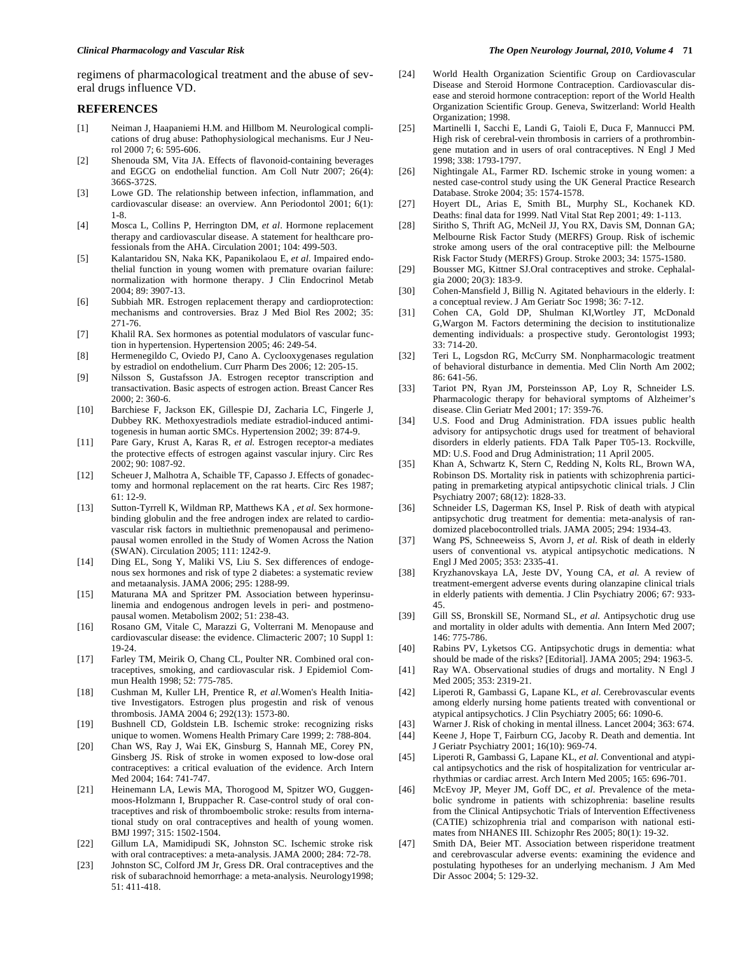regimens of pharmacological treatment and the abuse of several drugs influence VD.

#### **REFERENCES**

- [1] Neiman J, Haapaniemi H.M. and Hillbom M. Neurological complications of drug abuse: Pathophysiological mechanisms. Eur J Neurol 2000 7; 6: 595-606.
- [2] Shenouda SM, Vita JA. Effects of flavonoid-containing beverages and EGCG on endothelial function. Am Coll Nutr 2007; 26(4): 366S-372S.
- [3] Lowe GD. The relationship between infection, inflammation, and cardiovascular disease: an overview. Ann Periodontol 2001; 6(1): 1-8.
- [4] Mosca L, Collins P, Herrington DM, *et al*. Hormone replacement therapy and cardiovascular disease. A statement for healthcare professionals from the AHA. Circulation 2001; 104: 499-503.
- [5] Kalantaridou SN, Naka KK, Papanikolaou E, *et al*. Impaired endothelial function in young women with premature ovarian failure: normalization with hormone therapy. J Clin Endocrinol Metab 2004; 89: 3907-13.
- [6] Subbiah MR. Estrogen replacement therapy and cardioprotection: mechanisms and controversies. Braz J Med Biol Res 2002; 35: 271-76.
- [7] Khalil RA. Sex hormones as potential modulators of vascular function in hypertension. Hypertension 2005; 46: 249-54.
- [8] Hermenegildo C, Oviedo PJ, Cano A. Cyclooxygenases regulation by estradiol on endothelium. Curr Pharm Des 2006; 12: 205-15.
- [9] Nilsson S, Gustafsson JA. Estrogen receptor transcription and transactivation. Basic aspects of estrogen action. Breast Cancer Res 2000; 2: 360-6.
- [10] Barchiese F, Jackson EK, Gillespie DJ, Zacharia LC, Fingerle J, Dubbey RK. Methoxyestradiols mediate estradiol-induced antimitogenesis in human aortic SMCs. Hypertension 2002; 39: 874-9.
- [11] Pare Gary, Krust A, Karas R, et al. Estrogen receptor-a mediates the protective effects of estrogen against vascular injury. Circ Res 2002; 90: 1087-92.
- [12] Scheuer J, Malhotra A, Schaible TF, Capasso J. Effects of gonadectomy and hormonal replacement on the rat hearts. Circ Res 1987; 61: 12-9.
- [13] Sutton-Tyrrell K, Wildman RP, Matthews KA , *et al*. Sex hormonebinding globulin and the free androgen index are related to cardiovascular risk factors in multiethnic premenopausal and perimenopausal women enrolled in the Study of Women Across the Nation (SWAN). Circulation 2005; 111: 1242-9.
- [14] Ding EL, Song Y, Maliki VS, Liu S. Sex differences of endogenous sex hormones and risk of type 2 diabetes: a systematic review and metaanalysis. JAMA 2006; 295: 1288-99.
- [15] Maturana MA and Spritzer PM. Association between hyperinsulinemia and endogenous androgen levels in peri- and postmenopausal women. Metabolism 2002; 51: 238-43.
- [16] Rosano GM, Vitale C, Marazzi G, Volterrani M. Menopause and cardiovascular disease: the evidence. Climacteric 2007; 10 Suppl 1: 19-24.
- [17] Farley TM, Meirik O, Chang CL, Poulter NR. Combined oral contraceptives, smoking, and cardiovascular risk. J Epidemiol Commun Health 1998; 52: 775-785.
- [18] Cushman M, Kuller LH, Prentice R, *et al*.Women's Health Initiative Investigators. Estrogen plus progestin and risk of venous thrombosis. JAMA 2004 6; 292(13): 1573-80.
- [19] Bushnell CD, Goldstein LB. Ischemic stroke: recognizing risks unique to women. Womens Health Primary Care 1999; 2: 788-804.
- [20] Chan WS, Ray J, Wai EK, Ginsburg S, Hannah ME, Corey PN, Ginsberg JS. Risk of stroke in women exposed to low-dose oral contraceptives: a critical evaluation of the evidence. Arch Intern Med 2004; 164: 741-747.
- [21] Heinemann LA, Lewis MA, Thorogood M, Spitzer WO, Guggenmoos-Holzmann I, Bruppacher R. Case-control study of oral contraceptives and risk of thromboembolic stroke: results from international study on oral contraceptives and health of young women. BMJ 1997; 315: 1502-1504.
- [22] Gillum LA, Mamidipudi SK, Johnston SC. Ischemic stroke risk with oral contraceptives: a meta-analysis. JAMA 2000; 284: 72-78.
- [23] Johnston SC, Colford JM Jr, Gress DR. Oral contraceptives and the risk of subarachnoid hemorrhage: a meta-analysis. Neurology1998; 51: 411-418.
- [24] World Health Organization Scientific Group on Cardiovascular Disease and Steroid Hormone Contraception. Cardiovascular disease and steroid hormone contraception: report of the World Health Organization Scientific Group. Geneva, Switzerland: World Health Organization; 1998.
- [25] Martinelli I, Sacchi E, Landi G, Taioli E, Duca F, Mannucci PM. High risk of cerebral-vein thrombosis in carriers of a prothrombingene mutation and in users of oral contraceptives. N Engl J Med 1998; 338: 1793-1797.
- [26] Nightingale AL, Farmer RD. Ischemic stroke in young women: a nested case-control study using the UK General Practice Research Database. Stroke 2004; 35: 1574-1578.
- [27] Hoyert DL, Arias E, Smith BL, Murphy SL, Kochanek KD. Deaths: final data for 1999. Natl Vital Stat Rep 2001; 49: 1-113.
- [28] Siritho S, Thrift AG, McNeil JJ, You RX, Davis SM, Donnan GA; Melbourne Risk Factor Study (MERFS) Group. Risk of ischemic stroke among users of the oral contraceptive pill: the Melbourne Risk Factor Study (MERFS) Group. Stroke 2003; 34: 1575-1580.
- [29] Bousser MG, Kittner SJ.Oral contraceptives and stroke. Cephalalgia 2000; 20(3): 183-9.
- [30] Cohen-Mansfield J, Billig N. Agitated behaviours in the elderly. I: a conceptual review. J Am Geriatr Soc 1998; 36: 7-12.
- [31] Cohen CA, Gold DP, Shulman KI,Wortley JT, McDonald G,Wargon M. Factors determining the decision to institutionalize dementing individuals: a prospective study. Gerontologist 1993; 33: 714-20.
- [32] Teri L, Logsdon RG, McCurry SM. Nonpharmacologic treatment of behavioral disturbance in dementia. Med Clin North Am 2002; 86: 641-56.
- [33] Tariot PN, Ryan JM, Porsteinsson AP, Loy R, Schneider LS. Pharmacologic therapy for behavioral symptoms of Alzheimer's disease. Clin Geriatr Med 2001; 17: 359-76.
- [34] U.S. Food and Drug Administration. FDA issues public health advisory for antipsychotic drugs used for treatment of behavioral disorders in elderly patients. FDA Talk Paper T05-13. Rockville, MD: U.S. Food and Drug Administration; 11 April 2005.
- [35] Khan A, Schwartz K, Stern C, Redding N, Kolts RL, Brown WA, Robinson DS. Mortality risk in patients with schizophrenia participating in premarketing atypical antipsychotic clinical trials. J Clin Psychiatry 2007; 68(12): 1828-33.
- [36] Schneider LS, Dagerman KS, Insel P. Risk of death with atypical antipsychotic drug treatment for dementia: meta-analysis of randomized placebocontrolled trials. JAMA 2005; 294: 1934-43.
- [37] Wang PS, Schneeweiss S, Avorn J, *et al*. Risk of death in elderly users of conventional vs. atypical antipsychotic medications. N Engl J Med 2005; 353: 2335-41.
- [38] Kryzhanovskaya LA, Jeste DV, Young CA, *et al.* A review of treatment-emergent adverse events during olanzapine clinical trials in elderly patients with dementia. J Clin Psychiatry 2006; 67: 933- 45.
- [39] Gill SS, Bronskill SE, Normand SL, *et al.* Antipsychotic drug use and mortality in older adults with dementia. Ann Intern Med 2007; 146: 775-786.
- [40] Rabins PV, Lyketsos CG. Antipsychotic drugs in dementia: what should be made of the risks? [Editorial]. JAMA 2005; 294: 1963-5.
- [41] Ray WA. Observational studies of drugs and mortality. N Engl J Med 2005; 353: 2319-21.
- [42] Liperoti R, Gambassi G, Lapane KL, *et al*. Cerebrovascular events among elderly nursing home patients treated with conventional or atypical antipsychotics. J Clin Psychiatry 2005; 66: 1090-6.
- [43] Warner J. Risk of choking in mental illness. Lancet 2004; 363: 674.
- [44] Keene J, Hope T, Fairburn CG, Jacoby R. Death and dementia. Int J Geriatr Psychiatry 2001; 16(10): 969-74.
- [45] Liperoti R, Gambassi G, Lapane KL, *et al.* Conventional and atypical antipsychotics and the risk of hospitalization for ventricular arrhythmias or cardiac arrest. Arch Intern Med 2005; 165: 696-701.
- [46] McEvoy JP, Meyer JM, Goff DC, *et al*. Prevalence of the metabolic syndrome in patients with schizophrenia: baseline results from the Clinical Antipsychotic Trials of Intervention Effectiveness (CATIE) schizophrenia trial and comparison with national estimates from NHANES III. Schizophr Res 2005; 80(1): 19-32.
- [47] Smith DA, Beier MT. Association between risperidone treatment and cerebrovascular adverse events: examining the evidence and postulating hypotheses for an underlying mechanism. J Am Med Dir Assoc 2004; 5: 129-32.